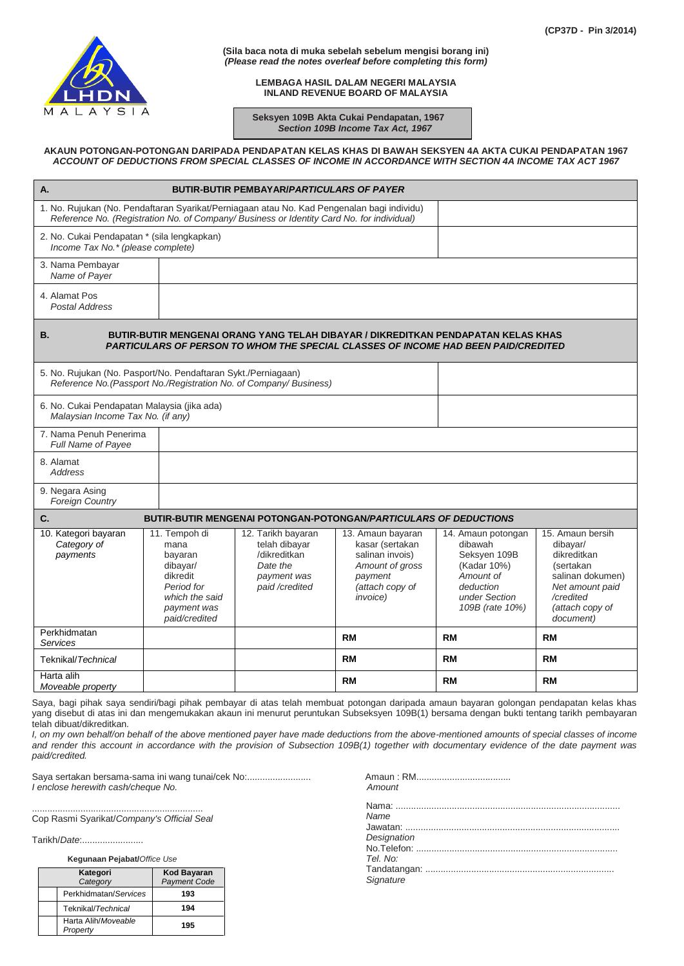

**(Sila baca nota di muka sebelah sebelum mengisi borang ini)** *(Please read the notes overleaf before completing this form)*

> **LEMBAGA HASIL DALAM NEGERI MALAYSIA INLAND REVENUE BOARD OF MALAYSIA**

 **Seksyen 109B Akta Cukai Pendapatan, 1967**  *Section 109B Income Tax Act, 1967*

## **AKAUN POTONGAN-POTONGAN DARIPADA PENDAPATAN KELAS KHAS DI BAWAH SEKSYEN 4A AKTA CUKAI PENDAPATAN 1967** *ACCOUNT OF DEDUCTIONS FROM SPECIAL CLASSES OF INCOME IN ACCORDANCE WITH SECTION 4A INCOME TAX ACT 1967*

| Α.                                                                                                                                                                                          |                                                                                                                          | <b>BUTIR-BUTIR PEMBAYAR/PARTICULARS OF PAYER</b>                                                 |                                                                                                                              |                                                                                                                            |                                                                                                                                              |
|---------------------------------------------------------------------------------------------------------------------------------------------------------------------------------------------|--------------------------------------------------------------------------------------------------------------------------|--------------------------------------------------------------------------------------------------|------------------------------------------------------------------------------------------------------------------------------|----------------------------------------------------------------------------------------------------------------------------|----------------------------------------------------------------------------------------------------------------------------------------------|
| 1. No. Rujukan (No. Pendaftaran Syarikat/Perniagaan atau No. Kad Pengenalan bagi individu)<br>Reference No. (Registration No. of Company/ Business or Identity Card No. for individual)     |                                                                                                                          |                                                                                                  |                                                                                                                              |                                                                                                                            |                                                                                                                                              |
| 2. No. Cukai Pendapatan * (sila lengkapkan)<br>Income Tax No.* (please complete)                                                                                                            |                                                                                                                          |                                                                                                  |                                                                                                                              |                                                                                                                            |                                                                                                                                              |
| 3. Nama Pembayar<br>Name of Payer                                                                                                                                                           |                                                                                                                          |                                                                                                  |                                                                                                                              |                                                                                                                            |                                                                                                                                              |
| 4. Alamat Pos<br><b>Postal Address</b>                                                                                                                                                      |                                                                                                                          |                                                                                                  |                                                                                                                              |                                                                                                                            |                                                                                                                                              |
| BUTIR-BUTIR MENGENAI ORANG YANG TELAH DIBAYAR / DIKREDITKAN PENDAPATAN KELAS KHAS<br><b>B.</b><br><b>PARTICULARS OF PERSON TO WHOM THE SPECIAL CLASSES OF INCOME HAD BEEN PAID/CREDITED</b> |                                                                                                                          |                                                                                                  |                                                                                                                              |                                                                                                                            |                                                                                                                                              |
| 5. No. Rujukan (No. Pasport/No. Pendaftaran Sykt./Perniagaan)<br>Reference No. (Passport No./Registration No. of Company/ Business)                                                         |                                                                                                                          |                                                                                                  |                                                                                                                              |                                                                                                                            |                                                                                                                                              |
| 6. No. Cukai Pendapatan Malaysia (jika ada)<br>Malaysian Income Tax No. (if any)                                                                                                            |                                                                                                                          |                                                                                                  |                                                                                                                              |                                                                                                                            |                                                                                                                                              |
| 7. Nama Penuh Penerima<br><b>Full Name of Payee</b>                                                                                                                                         |                                                                                                                          |                                                                                                  |                                                                                                                              |                                                                                                                            |                                                                                                                                              |
| 8. Alamat<br><b>Address</b>                                                                                                                                                                 |                                                                                                                          |                                                                                                  |                                                                                                                              |                                                                                                                            |                                                                                                                                              |
| 9. Negara Asing<br><b>Foreign Country</b>                                                                                                                                                   |                                                                                                                          |                                                                                                  |                                                                                                                              |                                                                                                                            |                                                                                                                                              |
| C.                                                                                                                                                                                          |                                                                                                                          |                                                                                                  | <b>BUTIR-BUTIR MENGENAI POTONGAN-POTONGAN/PARTICULARS OF DEDUCTIONS</b>                                                      |                                                                                                                            |                                                                                                                                              |
| 10. Kategori bayaran<br>Category of<br>payments                                                                                                                                             | 11. Tempoh di<br>mana<br>bayaran<br>dibayar/<br>dikredit<br>Period for<br>which the said<br>payment was<br>paid/credited | 12. Tarikh bayaran<br>telah dibayar<br>/dikreditkan<br>Date the<br>payment was<br>paid /credited | 13. Amaun bayaran<br>kasar (sertakan<br>salinan invois)<br>Amount of gross<br>payment<br>(attach copy of<br><i>invoice</i> ) | 14. Amaun potongan<br>dibawah<br>Seksyen 109B<br>(Kadar 10%)<br>Amount of<br>deduction<br>under Section<br>109B (rate 10%) | 15. Amaun bersih<br>dibayar/<br>dikreditkan<br>(sertakan<br>salinan dokumen)<br>Net amount paid<br>/credited<br>(attach copy of<br>document) |
| Perkhidmatan<br>Services                                                                                                                                                                    |                                                                                                                          |                                                                                                  | <b>RM</b>                                                                                                                    | <b>RM</b>                                                                                                                  | <b>RM</b>                                                                                                                                    |
| Teknikal/Technical                                                                                                                                                                          |                                                                                                                          |                                                                                                  | <b>RM</b>                                                                                                                    | <b>RM</b>                                                                                                                  | RM                                                                                                                                           |
| Harta alih<br>Moveable property                                                                                                                                                             |                                                                                                                          |                                                                                                  | <b>RM</b>                                                                                                                    | <b>RM</b>                                                                                                                  | RM                                                                                                                                           |

Saya, bagi pihak saya sendiri/bagi pihak pembayar di atas telah membuat potongan daripada amaun bayaran golongan pendapatan kelas khas yang disebut di atas ini dan mengemukakan akaun ini menurut peruntukan Subseksyen 109B(1) bersama dengan bukti tentang tarikh pembayaran telah dibuat/dikreditkan.

*I*, on my own behalf/on behalf of the above mentioned payer have made deductions from the above-mentioned amounts of special classes of income *and render this account in accordance with the provision of Subsection 109B(1) together with documentary evidence of the date payment was paid/credited.*

Saya sertakan bersama-sama ini wang tunai/cek No:......................... *I* enclose herewith cash/cheque No.

................................................................... Cop Rasmi Syarikat/*Company's Official Seal*

Tarikh/*Date*:........................

 **Kegunaan Pejabat/***Office Use*

| Kategori<br>Category            | <b>Kod Bayaran</b><br><b>Payment Code</b> |  |
|---------------------------------|-------------------------------------------|--|
| Perkhidmatan/Services           | 193                                       |  |
| Teknikal/Technical              | 194                                       |  |
| Harta Alih/Moveable<br>Property | 195                                       |  |

| Amount |  |
|--------|--|